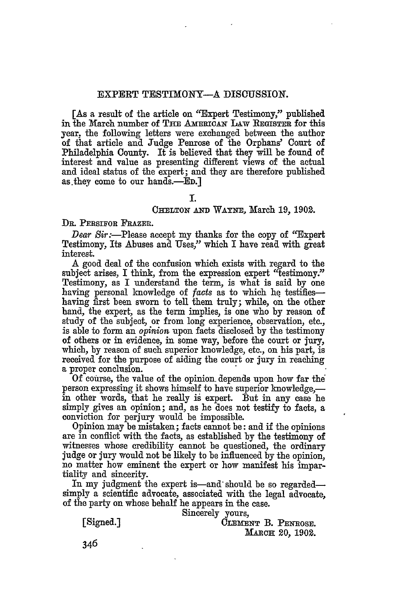## EXPERT TESTIMONY-A DISOUSSION.

[As a result of the article on "Expert Testimony," published in the March number of THE AMERICAN LAW REGISTER for this year, the following letters were exchanged between the author of that article and Judge Penrose of the Orphans' Court of Philadelphia County. It is believed that they will be found of interest and value as presenting different views of the actual and ideal status of the expert; and they are therefore published as they come to our hands.—ED.]

## I.

#### CHELTON AND WAYNE, March 19, 1902.

DR. PERSIFOR FRAZER.

*Dear Sir:*—Please accept my thanks for the copy of "Expert" Testimony, Its Abuses and Uses," which I have read with great interest.

A good deal of the confusion which exists with regard to the subject arises, I think, from the expression expert "testimony." Testimony, as I understand the term, is what is said by one having personal knowledge of *facts* as to which he testifieshaving first been sworn to tell them truly; while, on the other hand, the expert, as the term implies, is one who by reason of study of the subject, or from long experience, observation, etc., is able to form an *opinion,* upon facts disclosed by the testimony of others or in evidence, in some way, before the court or jury, which, by reason of such superior knowledge, etc., on his part, is received for the purpose of aiding the court or jury in reaching a proper conclusion.

Of course, the value of the opinion, depends upon how far the person expressing it shows himself to have superior knowledge, in other words, that he really is expert. But in any case he simply gives an opinion; and, as he does not testify to facts, a conviction for perjury would be impossible.

Opinion may be mistaken; facts cannot be: and if the opinions are in conflict with the facts, as established by the testimony of witnesses whose credibility cannot be questioned, the ordinary judge or jury would not be likely to be influenced by the opinion, no matter how eminent the expert or how manifest his impartiality and sincerity.

In my judgment the expert is—and should be so regardedsimply a scientific advocate, associated with the legal advocate, of the party on whose behalf he appears in the case.

Sincerely yours,

[Signed.] CLEMENT B. PENROSE. **MARCOH** 20, **1902.**

346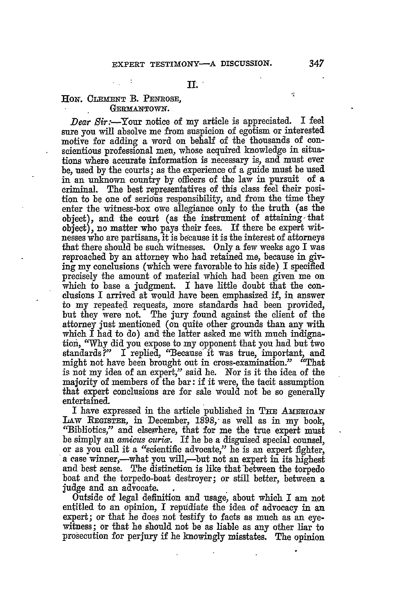#### $II.$

### **HON. CLEMENT** B. PENmoSE, **GERMANTOWN.**

*Dear Sir:-Your* notice of my article is appreciated. I feel sure you will absolve me from suspicion of egotism or interested motive for adding a word on behalf of the thousands of conscientious professional men, whose acquired knowledge in situations where accurate information is necessary is, and must ever be, used **by** the courts; as the experience of a guide must be used in an unknown country **by** officers of the law in pursuit of a criminal. The best representatives of this class feel their position to be one of serious responsibility, and from the time they enter the witness-box owe allegiance only to the truth (as the object), and the court (as the instrument of attaining **-** that object), no matter who pays their fees. If there be expert witnesses who are partisans, it is because it is the interest of attorneys that there should be such witnesses. Only a few weeks ago I was reproached **by** an attorney who had retained me, because in giving my conclusions (which were favorable to his side) I specified precisely the amount of material which had been given me on which to base a judgment. I have little doubt that the conclusions I arrived at would have been emphasized if, in answer to my repeated requests, more standards had been provided, but they were not. The jury found against the client of the attorney just mentioned (on quite other grounds than any with which I had to do) and the latter asked me with much indignation, "Why did you expose to my opponent that you had but two standards?" I replied, "Because it was true, important, and might not have been brought out in cross-examination." "That is not my idea of an expert," said he. Nor is it the idea of the majority of members of the bar: if it were, the tacit assumption that expert conclusions are for sale would not be so generally entertained.

I have expressed in the article published in THE AMERICAN LAW REGISTER, in December, 1898, as well as in my book, "Bibliotics," and elsewhere, that for me the true expert must be simply an *amicus curia*. If he be a disguised special counsel, or as **you** call it a "scientific advocate," he is an expert fighter, a case winner,—what you will,—but not an expert in its highest and best sense. The distinction is like that between the torpedo boat and the torpedo-boat destroyer; or still better, between a judge and an advocate.

Outside of legal definition and usage, about which I am not entitled to an opinion, I repudiate the idea of advocacy in an expert; or that he does not testify to facts as much as an eyewitness; or that he should not be as liable as any other liar to prosecution for perjury if he knowingly misstates. The opinion

 $\tilde{a}$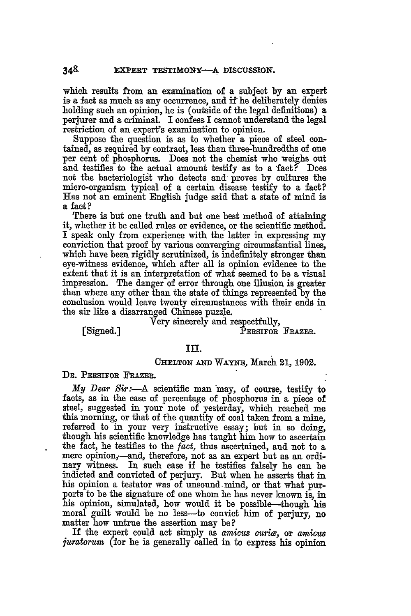which results from an examination of a subject **by** an expert is a fact as much as any occurrence, and if he deliberately denies holding such an opinion, he is (outside of the legal definitions) a perjurer and a criminal. I confess I cannot understand the legal restriction of an expert's examination to opinion.

Suppose the question is as to whether a piece of steel contained, as required by contract, less than three-hundredths of one per cent of phosphorus. Does not the chemist who weighs out and testifies to the actual amount testify as to a fact? Does not the bacteriologist who detects and proves by cultures the micro-organism typical of a certain disease testify to a fact? **Has** not an eminent English judge said that a state of mind is a fact?

There is but one truth and but one best method of attaining it, whether it be called rules or evidence, or the scientific method. I speak only from experience with the latter in expressing my conviction that proof by various converging circumstantial lines, which have been rigidly scrutinized, is indefinitely stronger than eye-witness evidence, which after all is opinion evidence to the extent that it is an interpretation of what seemed to be a visual impression. The danger of error through one illusion is greater than where any other than the state of things represented by the conclusion would leave twenty circumstances with their ends in the air like a disarranged Chinese puzzle.

Very sincerely and respectfully,<br> **PERSIFOR FRAZER.** 

### **I.**

## **CHELTON AND WAYE,** March **21, 1902.**

### DR. PERSIFOR FRAZER.

*My Dear Sir:.-A* scientific man may, of course, testify to facts, as in the case of percentage of phosphorus in a piece of steel, suggested in your note of yesterday, which reached me this morning, or that of the quantity of coal taken from a mine, referred to in your very instructive essay; but in so doing, though his scientific knowledge has taught him how to ascertain the fact, he testifies to the fact, thus ascertained, and not to a mere opinion,-and, therefore, not as an expert but as an ordinary witness. In such case if he testifies falsely he can be indicted and convicted of perjury. But when he asserts that in his opinion a testator was of unsound-mind, or that what purports to be the signature of one whom he has never known is, in his opinion, simulated, how would it be possible-though his moral guilt would be no less--to convict him of perjury, no matter how untrue the assertion may be?

If the expert could act simply as *amicus ouria,* or *amicus juratorun* (for he is generally called in to express his opinion

 $348$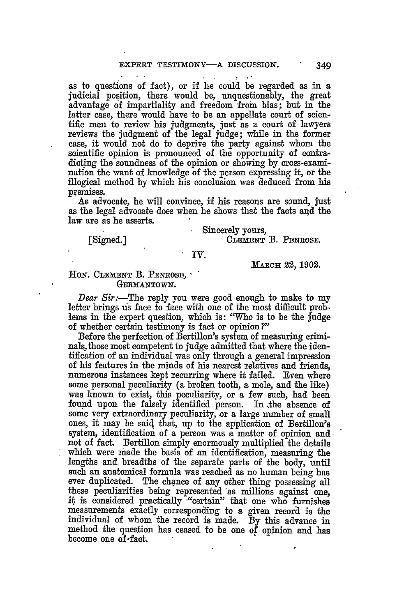as to questions of fact), or if he could be regarded as in a judicial position, there would be, unquestionably, the great advantage of impartiality and freedom from bias; but in the latter case, there would have to be an appellate court of scientific men to review his judgments, just as a court of lawyers reviews the judgment of the legal judge; while in the former case, it would not do to deprive the party against whom the scientific opinion is pronounced of the opportunity of contradicting the soundness of the opinion or showing by cross-examination the want of knowledge of the person expressing it, or the illogical method by which his conclusion was deduced from his premises.

As advocate, he will convince, if his reasons are sound, just as the legal advocate does when he shows that the facts and the law are as he asserts.

Sincerely yours,

[Signed.] **CLEMENT** B. PENROSE.

# **IV.**

**MARCH** 22, **1902.**

# HON. CLEMENT B. PENROSE, GERMANTOWN.

*Dear Sir*:—The reply you were good enough to make to my letter brings us face to face with one of the most difficult problems in the expert question, which is: "Who is to be the judge of whether certain testimony is fact or opinion ?"

Before the perfection of Bertillon's system of measuring criminals, those most competent to judge admitted that where the identification of an individual was only through a general impression of his features in the minds of his nearest relatives and friends, numerous instances kept recurring where it failed. Even where some personal peculiarity (a broken tooth, a mole, and the like) was known to exist, this peculiarity, or a few such, had been found upon the falsely identified person. In \the absence of some very extraordinary peculiarity, or a large number of small ones, it may be said that, up to the application of Bertillon's system, identification of a person was a matter of opinion and not of fact. Bertillon simply enormously multiplied the details which were made the basis of an identification, measuring the lengths and breadths of the separate parts of the body, until such an anatomical formula was reached as no human being **has** ever duplicated. The chance of any other thing possessing all these peculiarities being represented as millions against one, it is considered practically "certain" that one who furnishes measurements exactly corresponding to a given record is the individual of whom the record is made. **By** this advance in method the question has ceased to be one of opinion and has become one **of** -fact.